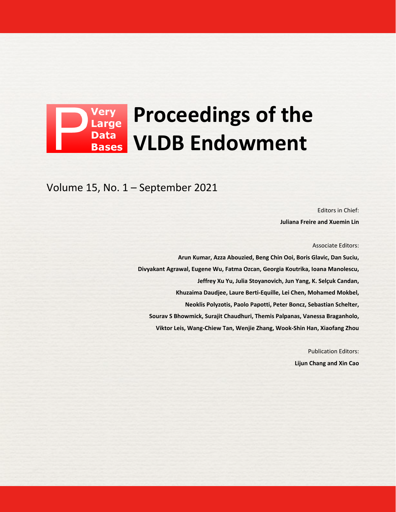## **Proceedings of the Data VLDB Endowment Bases**

Volume 15, No. 1 – September 2021

Editors in Chief: **Juliana Freire and Xuemin Lin**

Associate Editors:

**Arun Kumar, Azza Abouzied, Beng Chin Ooi, Boris Glavic, Dan Suciu, Divyakant Agrawal, Eugene Wu, Fatma Ozcan, Georgia Koutrika, Ioana Manolescu, Jeffrey Xu Yu, Julia Stoyanovich, Jun Yang, K. Selçuk Candan, Khuzaima Daudjee, Laure Berti-Equille, Lei Chen, Mohamed Mokbel, Neoklis Polyzotis, Paolo Papotti, Peter Boncz, Sebastian Schelter, Sourav S Bhowmick, Surajit Chaudhuri, Themis Palpanas, Vanessa Braganholo, Viktor Leis, Wang-Chiew Tan, Wenjie Zhang, Wook-Shin Han, Xiaofang Zhou**

> Publication Editors: **Lijun Chang and Xin Cao**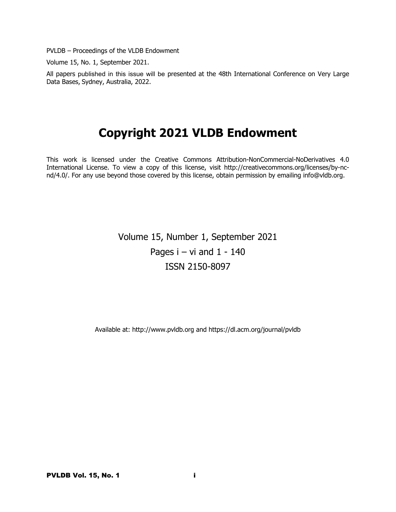PVLDB – Proceedings of the VLDB Endowment

Volume 15, No. 1, September 2021.

All papers published in this issue will be presented at the 48th International Conference on Very Large Data Bases, Sydney, Australia, 2022.

# **Copyright 2021 VLDB Endowment**

This work is licensed under the Creative Commons Attribution-NonCommercial-NoDerivatives 4.0 International License. To view a copy of this license, visit http://creativecommons.org/licenses/by-ncnd/4.0/. For any use beyond those covered by this license, obtain permission by emailing info@vldb.org.

> Volume 15, Number 1, September 2021 Pages  $i - vi$  and  $1 - 140$ ISSN 2150-8097

Available at: http://www.pvldb.org and https://dl.acm.org/journal/pvldb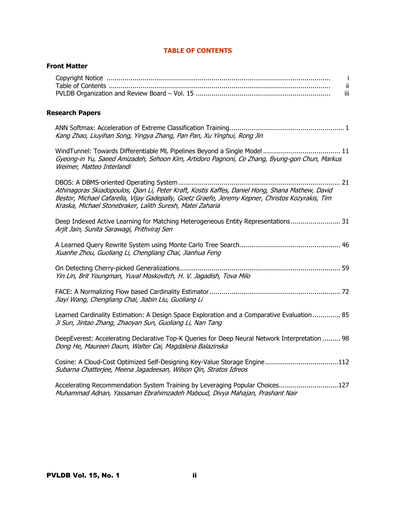## **TABLE OF CONTENTS**

## **Front Matter**

| iii |
|-----|

## **Research Papers**

| Kang Zhao, Liuyihan Song, Yingya Zhang, Pan Pan, Xu Yinghui, Rong Jin |  |
|-----------------------------------------------------------------------|--|

WindTunnel: Towards Differentiable ML Pipelines Beyond a Single Model ....................................... 11 Gyeong-in Yu, Saeed Amizadeh, Sehoon Kim, Artidoro Pagnoni, Ce Zhang, Byung-gon Chun, Markus Weimer, Matteo Interlandi

| Athinagoras Skiadopoulos, Qian Li, Peter Kraft, Kostis Kaffes, Daniel Hong, Shana Mathew, David  |  |
|--------------------------------------------------------------------------------------------------|--|
| Bestor, Michael Cafarella, Vijay Gadepally, Goetz Graefe, Jeremy Kepner, Christos Kozyrakis, Tim |  |
| Kraska, Michael Stonebraker, Lalith Suresh, Matei Zaharia                                        |  |

Deep Indexed Active Learning for Matching Heterogeneous Entity Representations ......................... 31 Arjit Jain, Sunita Sarawagi, Prithviraj Sen

A Learned Query Rewrite System using Monte Carlo Tree Search................................................... 46 Xuanhe Zhou, Guoliang Li, Chengliang Chai, Jianhua Feng

| Yin Lin, Brit Youngman, Yuval Moskovitch, H. V. Jagadish, Tova Milo |  |
|---------------------------------------------------------------------|--|

| Jiayi Wang, Chengliang Chai, Jiabin Liu, Guoliang Li |  |
|------------------------------------------------------|--|

Learned Cardinality Estimation: A Design Space Exploration and a Comparative Evaluation.............. 85 Ji Sun, Jintao Zhang, Zhaoyan Sun, Guoliang Li, Nan Tang

DeepEverest: Accelerating Declarative Top-K Queries for Deep Neural Network Interpretation ......... 98 Dong He, Maureen Daum, Walter Cai, Magdalena Balazinska

Cosine: A Cloud-Cost Optimized Self-Designing Key-Value Storage Engine.....................................112 Subarna Chatterjee, Meena Jagadeesan, Wilson Qin, Stratos Idreos

Accelerating Recommendation System Training by Leveraging Popular Choices..............................127 Muhammad Adnan, Yassaman Ebrahimzadeh Maboud, Divya Mahajan, Prashant Nair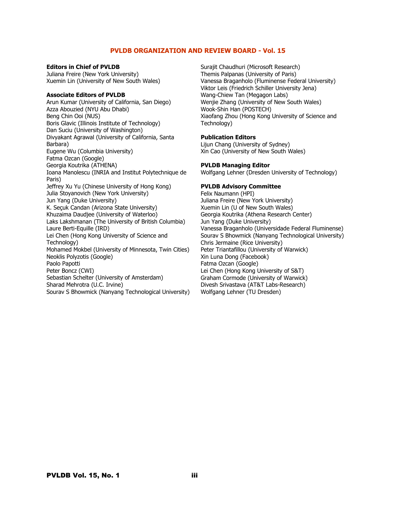## **PVLDB ORGANIZATION AND REVIEW BOARD - Vol. 15**

**Editors in Chief of PVLDB** Juliana Freire (New York University) Xuemin Lin (University of New South Wales)

#### **Associate Editors of PVLDB**

Arun Kumar (University of California, San Diego) Azza Abouzied (NYU Abu Dhabi) Beng Chin Ooi (NUS) Boris Glavic (Illinois Institute of Technology) Dan Suciu (University of Washington) Divyakant Agrawal (University of California, Santa Barbara) Eugene Wu (Columbia University) Fatma Ozcan (Google) Georgia Koutrika (ATHENA) Ioana Manolescu (INRIA and Institut Polytechnique de Paris) Jeffrey Xu Yu (Chinese University of Hong Kong) Julia Stoyanovich (New York University) Jun Yang (Duke University) K. Seçuk Candan (Arizona State University) Khuzaima Daudjee (University of Waterloo) Laks Lakshmanan (The University of British Columbia) Laure Berti-Equille (IRD) Lei Chen (Hong Kong University of Science and Technology) Mohamed Mokbel (University of Minnesota, Twin Cities) Neoklis Polyzotis (Google) Paolo Papotti Peter Boncz (CWI) Sebastian Schelter (University of Amsterdam) Sharad Mehrotra (U.C. Irvine) Sourav S Bhowmick (Nanyang Technological University) Surajit Chaudhuri (Microsoft Research) Themis Palpanas (University of Paris) Vanessa Braganholo (Fluminense Federal University) Viktor Leis (Friedrich Schiller University Jena) Wang-Chiew Tan (Megagon Labs) Wenjie Zhang (University of New South Wales) Wook-Shin Han (POSTECH) Xiaofang Zhou (Hong Kong University of Science and Technology)

#### **Publication Editors**

Lijun Chang (University of Sydney) Xin Cao (University of New South Wales)

#### **PVLDB Managing Editor**

Wolfgang Lehner (Dresden University of Technology)

## **PVLDB Advisory Committee**

Felix Naumann (HPI) Juliana Freire (New York University) Xuemin Lin (U of New South Wales) Georgia Koutrika (Athena Research Center) Jun Yang (Duke University) Vanessa Braganholo (Universidade Federal Fluminense) Sourav S Bhowmick (Nanyang Technological University) Chris Jermaine (Rice University) Peter Triantafillou (University of Warwick) Xin Luna Dong (Facebook) Fatma Ozcan (Google) Lei Chen (Hong Kong University of S&T) Graham Cormode (University of Warwick) Divesh Srivastava (AT&T Labs-Research) Wolfgang Lehner (TU Dresden)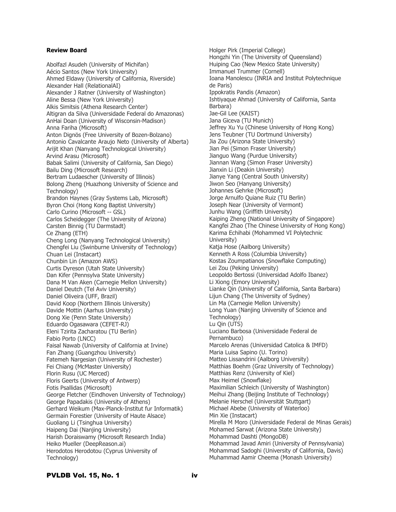## **Review Board**

Abolfazl Asudeh (University of Michifan) Aécio Santos (New York University) Ahmed Eldawy (University of California, Riverside) Alexander Hall (RelationalAI) Alexander J Ratner (University of Washington) Aline Bessa (New York University) Alkis Simitsis (Athena Research Center) Altigran da Silva (Universidade Federal do Amazonas) AnHai Doan (University of Wisconsin-Madison) Anna Fariha (Microsoft) Anton Dignös (Free University of Bozen-Bolzano) Antonio Cavalcante Araujo Neto (University of Alberta) Arijit Khan (Nanyang Technological University) Arvind Arasu (Microsoft) Babak Salimi (University of California, San Diego) Bailu Ding (Microsoft Research) Bertram Ludaescher (University of Illinois) Bolong Zheng (Huazhong University of Science and Technology) Brandon Haynes (Gray Systems Lab, Microsoft) Byron Choi (Hong Kong Baptist University) Carlo Curino (Microsoft -- GSL) Carlos Scheidegger (The University of Arizona) Carsten Binnig (TU Darmstadt) Ce Zhang (ETH) Cheng Long (Nanyang Technological University) Chengfei Liu (Swinburne University of Technology) Chuan Lei (Instacart) Chunbin Lin (Amazon AWS) Curtis Dyreson (Utah State University) Dan Kifer (Pennsylva State University) Dana M Van Aken (Carnegie Mellon University) Daniel Deutch (Tel Aviv University) Daniel Oliveira (UFF, Brazil) David Koop (Northern Illinois University) Davide Mottin (Aarhus University) Dong Xie (Penn State University) Eduardo Ogasawara (CEFET-RJ) Eleni Tzirita Zacharatou (TU Berlin) Fabio Porto (LNCC) Faisal Nawab (University of California at Irvine) Fan Zhang (Guangzhou University) Fatemeh Nargesian (University of Rochester) Fei Chiang (McMaster University) Florin Rusu (UC Merced) Floris Geerts (University of Antwerp) Fotis Psallidas (Microsoft) George Fletcher (Eindhoven University of Technology) George Papadakis (University of Athens) Gerhard Weikum (Max-Planck-Institut fur Informatik) Germain Forestier (University of Haute Alsace) Guoliang Li (Tsinghua University) Haipeng Dai (Nanjing University) Harish Doraiswamy (Microsoft Research India) Heiko Mueller (DeepReason.ai) Herodotos Herodotou (Cyprus University of Technology)

Holger Pirk (Imperial College) Hongzhi Yin (The University of Queensland) Huiping Cao (New Mexico State University) Immanuel Trummer (Cornell) Ioana Manolescu (INRIA and Institut Polytechnique de Paris) Ippokratis Pandis (Amazon) Ishtiyaque Ahmad (University of California, Santa Barbara) Jae-Gil Lee (KAIST) Jana Giceva (TU Munich) Jeffrey Xu Yu (Chinese University of Hong Kong) Jens Teubner (TU Dortmund University) Jia Zou (Arizona State University) Jian Pei (Simon Fraser University) Jianguo Wang (Purdue University) Jiannan Wang (Simon Fraser University) Jianxin Li (Deakin University) Jianye Yang (Central South University) Jiwon Seo (Hanyang University) Johannes Gehrke (Microsoft) Jorge Arnulfo Quiane Ruiz (TU Berlin) Joseph Near (University of Vermont) Junhu Wang (Griffith University) Kaiping Zheng (National University of Singapore) Kangfei Zhao (The Chinese University of Hong Kong) Karima Echihabi (Mohammed VI Polytechnic University) Katja Hose (Aalborg University) Kenneth A Ross (Columbia University) Kostas Zoumpatianos (Snowflake Computing) Lei Zou (Peking University) Leopoldo Bertossi (Universidad Adolfo Ibanez) Li Xiong (Emory University) Lianke Qin (University of California, Santa Barbara) Lijun Chang (The University of Sydney) Lin Ma (Carnegie Mellon University) Long Yuan (Nanjing University of Science and Technology) Lu Qin (UTS) Luciano Barbosa (Universidade Federal de Pernambuco) Marcelo Arenas (Universidad Catolica & IMFD) Maria Luisa Sapino (U. Torino) Matteo Lissandrini (Aalborg University) Matthias Boehm (Graz University of Technology) Matthias Renz (University of Kiel) Max Heimel (Snowflake) Maximilian Schleich (University of Washington) Meihui Zhang (Beijing Institute of Technology) Melanie Herschel (Universität Stuttgart) Michael Abebe (University of Waterloo) Min Xie (Instacart) Mirella M Moro (Universidade Federal de Minas Gerais) Mohamed Sarwat (Arizona State University) Mohammad Dashti (MongoDB) Mohammad Javad Amiri (University of Pennsylvania) Mohammad Sadoghi (University of California, Davis) Muhammad Aamir Cheema (Monash University)

## PVLDB Vol. 15, No. 1 iv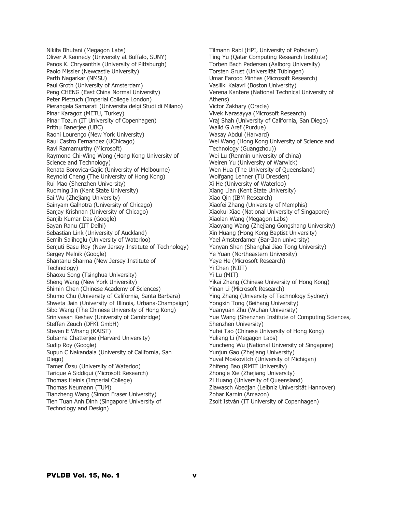Nikita Bhutani (Megagon Labs) Oliver A Kennedy (University at Buffalo, SUNY) Panos K. Chrysanthis (University of Pittsburgh) Paolo Missier (Newcastle University) Parth Nagarkar (NMSU) Paul Groth (University of Amsterdam) Peng CHENG (East China Normal University) Peter Pietzuch (Imperial College London) Pierangela Samarati (Universita delgi Studi di Milano) Pinar Karagoz (METU, Turkey) Pinar Tozun (IT University of Copenhagen) Prithu Banerjee (UBC) Raoni Lourenço (New York University) Raul Castro Fernandez (UChicago) Ravi Ramamurthy (Microsoft) Raymond Chi-Wing Wong (Hong Kong University of Science and Technology) Renata Borovica-Gajic (University of Melbourne) Reynold Cheng (The University of Hong Kong) Rui Mao (Shenzhen University) Ruoming Jin (Kent State University) Sai Wu (Zhejiang University) Sainyam Galhotra (University of Chicago) Sanjay Krishnan (University of Chicago) Sanjib Kumar Das (Google) Sayan Ranu (IIT Delhi) Sebastian Link (University of Auckland) Semih Salihoglu (University of Waterloo) Senjuti Basu Roy (New Jersey Institute of Technology) Sergey Melnik (Google) Shantanu Sharma (New Jersey Institute of Technology) Shaoxu Song (Tsinghua University) Sheng Wang (New York University) Shimin Chen (Chinese Academy of Sciences) Shumo Chu (University of California, Santa Barbara) Shweta Jain (University of Illinois, Urbana-Champaign) Sibo Wang (The Chinese University of Hong Kong) Srinivasan Keshav (University of Cambridge) Steffen Zeuch (DFKI GmbH) Steven E Whang (KAIST) Subarna Chatterjee (Harvard University) Sudip Roy (Google) Supun C Nakandala (University of California, San Diego) Tamer Özsu (University of Waterloo) Tarique A Siddiqui (Microsoft Research) Thomas Heinis (Imperial College) Thomas Neumann (TUM) Tianzheng Wang (Simon Fraser University) Tien Tuan Anh Dinh (Singapore University of Technology and Design)

Tilmann Rabl (HPI, University of Potsdam) Ting Yu (Qatar Computing Research Institute) Torben Bach Pedersen (Aalborg University) Torsten Grust (Universität Tübingen) Umar Farooq Minhas (Microsoft Research) Vasiliki Kalavri (Boston University) Verena Kantere (National Technical University of Athens) Victor Zakhary (Oracle) Vivek Narasayya (Microsoft Research) Vraj Shah (University of California, San Diego) Walid G Aref (Purdue) Wasay Abdul (Harvard) Wei Wang (Hong Kong University of Science and Technology (Guangzhou)) Wei Lu (Renmin university of china) Weiren Yu (University of Warwick) Wen Hua (The University of Queensland) Wolfgang Lehner (TU Dresden) Xi He (University of Waterloo) Xiang Lian (Kent State University) Xiao Qin (IBM Research) Xiaofei Zhang (University of Memphis) Xiaokui Xiao (National University of Singapore) Xiaolan Wang (Megagon Labs) Xiaoyang Wang (Zhejiang Gongshang University) Xin Huang (Hong Kong Baptist University) Yael Amsterdamer (Bar-Ilan university) Yanyan Shen (Shanghai Jiao Tong University) Ye Yuan (Northeastern University) Yeye He (Microsoft Research) Yi Chen (NJIT) Yi Lu (MIT) Yikai Zhang (Chinese University of Hong Kong) Yinan Li (Microsoft Research) Ying Zhang (University of Technology Sydney) Yongxin Tong (Beihang University) Yuanyuan Zhu (Wuhan University) Yue Wang (Shenzhen Institute of Computing Sciences, Shenzhen University) Yufei Tao (Chinese University of Hong Kong) Yuliang Li (Megagon Labs) Yuncheng Wu (National University of Singapore) Yunjun Gao (Zhejiang University) Yuval Moskovitch (University of Michigan) Zhifeng Bao (RMIT University) Zhongle Xie (Zhejiang University) Zi Huang (University of Queensland) Ziawasch Abedjan (Leibniz Universität Hannover) Zohar Karnin (Amazon) Zsolt István (IT University of Copenhagen)